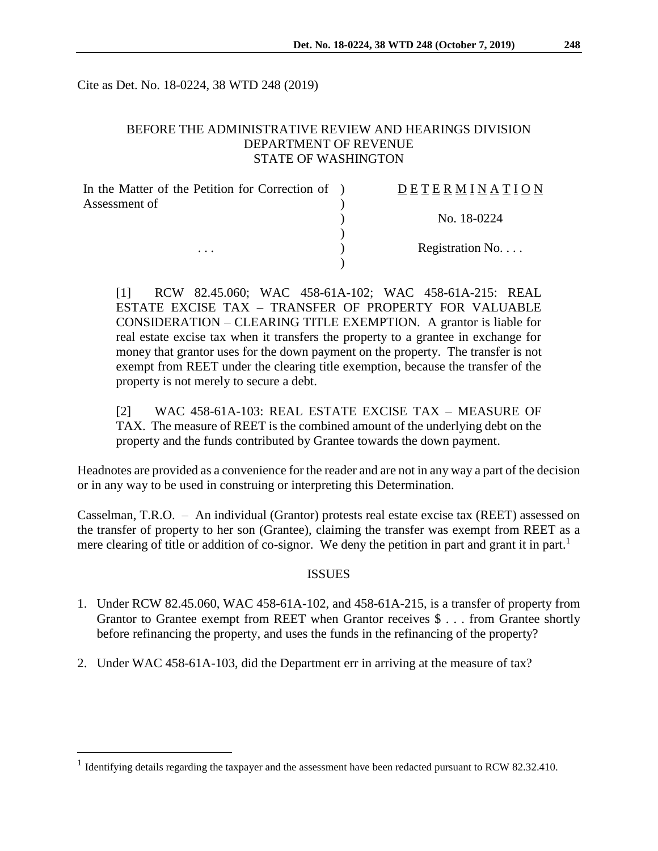Cite as Det. No. 18-0224, 38 WTD 248 (2019)

### BEFORE THE ADMINISTRATIVE REVIEW AND HEARINGS DIVISION DEPARTMENT OF REVENUE STATE OF WASHINGTON

| In the Matter of the Petition for Correction of ) | <b>DETERMINATION</b> |
|---------------------------------------------------|----------------------|
| Assessment of                                     |                      |
|                                                   | No. 18-0224          |
|                                                   |                      |
| $\cdots$                                          | Registration No      |
|                                                   |                      |

[1] RCW 82.45.060; WAC 458-61A-102; WAC 458-61A-215: REAL ESTATE EXCISE TAX – TRANSFER OF PROPERTY FOR VALUABLE CONSIDERATION – CLEARING TITLE EXEMPTION. A grantor is liable for real estate excise tax when it transfers the property to a grantee in exchange for money that grantor uses for the down payment on the property. The transfer is not exempt from REET under the clearing title exemption, because the transfer of the property is not merely to secure a debt.

[2] WAC 458-61A-103: REAL ESTATE EXCISE TAX – MEASURE OF TAX. The measure of REET is the combined amount of the underlying debt on the property and the funds contributed by Grantee towards the down payment.

Headnotes are provided as a convenience for the reader and are not in any way a part of the decision or in any way to be used in construing or interpreting this Determination.

Casselman, T.R.O. – An individual (Grantor) protests real estate excise tax (REET) assessed on the transfer of property to her son (Grantee), claiming the transfer was exempt from REET as a mere clearing of title or addition of co-signor. We deny the petition in part and grant it in part.<sup>1</sup>

#### ISSUES

- 1. Under RCW 82.45.060, WAC 458-61A-102, and 458-61A-215, is a transfer of property from Grantor to Grantee exempt from REET when Grantor receives \$ . . . from Grantee shortly before refinancing the property, and uses the funds in the refinancing of the property?
- 2. Under WAC 458-61A-103, did the Department err in arriving at the measure of tax?

 $\overline{a}$ 

<sup>&</sup>lt;sup>1</sup> Identifying details regarding the taxpayer and the assessment have been redacted pursuant to RCW 82.32.410.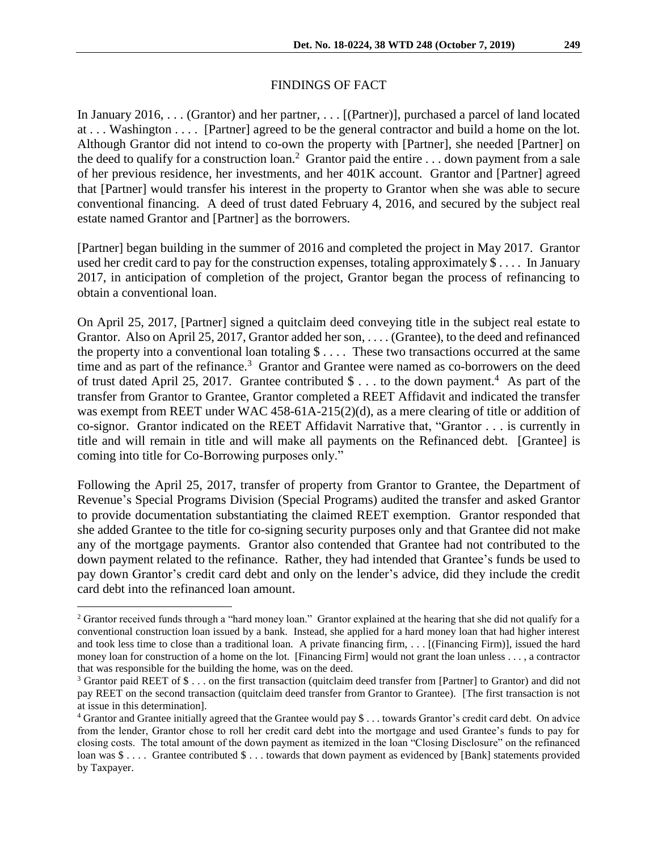### FINDINGS OF FACT

In January 2016, . . . (Grantor) and her partner, . . . [(Partner)], purchased a parcel of land located at . . . Washington . . . . [Partner] agreed to be the general contractor and build a home on the lot. Although Grantor did not intend to co-own the property with [Partner], she needed [Partner] on the deed to qualify for a construction loan.<sup>2</sup> Grantor paid the entire  $\dots$  down payment from a sale of her previous residence, her investments, and her 401K account. Grantor and [Partner] agreed that [Partner] would transfer his interest in the property to Grantor when she was able to secure conventional financing. A deed of trust dated February 4, 2016, and secured by the subject real estate named Grantor and [Partner] as the borrowers.

[Partner] began building in the summer of 2016 and completed the project in May 2017. Grantor used her credit card to pay for the construction expenses, totaling approximately \$ . . . . In January 2017, in anticipation of completion of the project, Grantor began the process of refinancing to obtain a conventional loan.

On April 25, 2017, [Partner] signed a quitclaim deed conveying title in the subject real estate to Grantor. Also on April 25, 2017, Grantor added her son, . . . . (Grantee), to the deed and refinanced the property into a conventional loan totaling  $\$\ldots$ . These two transactions occurred at the same time and as part of the refinance.<sup>3</sup> Grantor and Grantee were named as co-borrowers on the deed of trust dated April 25, 2017. Grantee contributed  $\text{\$} \dots$  to the down payment.<sup>4</sup> As part of the transfer from Grantor to Grantee, Grantor completed a REET Affidavit and indicated the transfer was exempt from REET under WAC 458-61A-215(2)(d), as a mere clearing of title or addition of co-signor. Grantor indicated on the REET Affidavit Narrative that, "Grantor . . . is currently in title and will remain in title and will make all payments on the Refinanced debt. [Grantee] is coming into title for Co-Borrowing purposes only."

Following the April 25, 2017, transfer of property from Grantor to Grantee, the Department of Revenue's Special Programs Division (Special Programs) audited the transfer and asked Grantor to provide documentation substantiating the claimed REET exemption. Grantor responded that she added Grantee to the title for co-signing security purposes only and that Grantee did not make any of the mortgage payments. Grantor also contended that Grantee had not contributed to the down payment related to the refinance. Rather, they had intended that Grantee's funds be used to pay down Grantor's credit card debt and only on the lender's advice, did they include the credit card debt into the refinanced loan amount.

 $\overline{a}$ 

<sup>&</sup>lt;sup>2</sup> Grantor received funds through a "hard money loan." Grantor explained at the hearing that she did not qualify for a conventional construction loan issued by a bank. Instead, she applied for a hard money loan that had higher interest and took less time to close than a traditional loan. A private financing firm, . . . [(Financing Firm)], issued the hard money loan for construction of a home on the lot. [Financing Firm] would not grant the loan unless . . . , a contractor that was responsible for the building the home, was on the deed.

<sup>3</sup> Grantor paid REET of \$ . . . on the first transaction (quitclaim deed transfer from [Partner] to Grantor) and did not pay REET on the second transaction (quitclaim deed transfer from Grantor to Grantee). [The first transaction is not at issue in this determination].

<sup>4</sup> Grantor and Grantee initially agreed that the Grantee would pay \$ . . . towards Grantor's credit card debt. On advice from the lender, Grantor chose to roll her credit card debt into the mortgage and used Grantee's funds to pay for closing costs. The total amount of the down payment as itemized in the loan "Closing Disclosure" on the refinanced loan was \$ . . . . Grantee contributed \$ . . . towards that down payment as evidenced by [Bank] statements provided by Taxpayer.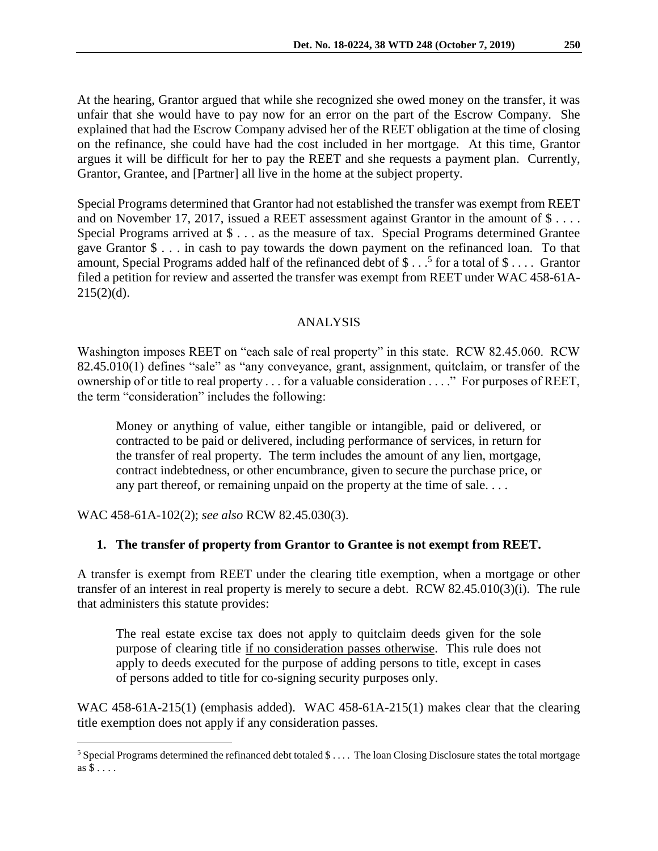At the hearing, Grantor argued that while she recognized she owed money on the transfer, it was unfair that she would have to pay now for an error on the part of the Escrow Company. She explained that had the Escrow Company advised her of the REET obligation at the time of closing on the refinance, she could have had the cost included in her mortgage. At this time, Grantor argues it will be difficult for her to pay the REET and she requests a payment plan. Currently, Grantor, Grantee, and [Partner] all live in the home at the subject property.

Special Programs determined that Grantor had not established the transfer was exempt from REET and on November 17, 2017, issued a REET assessment against Grantor in the amount of \$ . . . . Special Programs arrived at \$ . . . as the measure of tax. Special Programs determined Grantee gave Grantor \$ . . . in cash to pay towards the down payment on the refinanced loan. To that amount, Special Programs added half of the refinanced debt of \$ $\dots$ <sup>5</sup> for a total of \$ $\dots$  Grantor filed a petition for review and asserted the transfer was exempt from REET under WAC 458-61A- $215(2)(d)$ .

# ANALYSIS

Washington imposes REET on "each sale of real property" in this state. RCW 82.45.060. RCW 82.45.010(1) defines "sale" as "any conveyance, grant, assignment, quitclaim, or transfer of the ownership of or title to real property . . . for a valuable consideration . . . ." For purposes of REET, the term "consideration" includes the following:

Money or anything of value, either tangible or intangible, paid or delivered, or contracted to be paid or delivered, including performance of services, in return for the transfer of real property. The term includes the amount of any lien, mortgage, contract indebtedness, or other encumbrance, given to secure the purchase price, or any part thereof, or remaining unpaid on the property at the time of sale. . . .

WAC 458-61A-102(2); *see also* RCW 82.45.030(3).

 $\overline{a}$ 

# **1. The transfer of property from Grantor to Grantee is not exempt from REET.**

A transfer is exempt from REET under the clearing title exemption, when a mortgage or other transfer of an interest in real property is merely to secure a debt. RCW 82.45.010(3)(i). The rule that administers this statute provides:

The real estate excise tax does not apply to quitclaim deeds given for the sole purpose of clearing title if no consideration passes otherwise. This rule does not apply to deeds executed for the purpose of adding persons to title, except in cases of persons added to title for co-signing security purposes only.

WAC 458-61A-215(1) (emphasis added). WAC 458-61A-215(1) makes clear that the clearing title exemption does not apply if any consideration passes.

<sup>5</sup> Special Programs determined the refinanced debt totaled \$ . . . . The loan Closing Disclosure states the total mortgage as \$ . . . .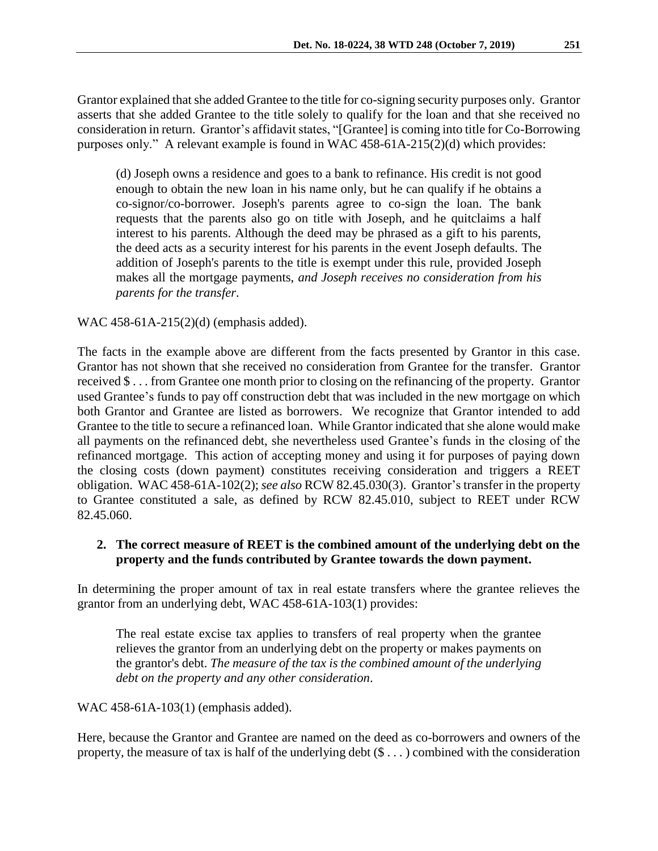(d) Joseph owns a residence and goes to a bank to refinance. His credit is not good enough to obtain the new loan in his name only, but he can qualify if he obtains a co-signor/co-borrower. Joseph's parents agree to co-sign the loan. The bank requests that the parents also go on title with Joseph, and he quitclaims a half interest to his parents. Although the deed may be phrased as a gift to his parents, the deed acts as a security interest for his parents in the event Joseph defaults. The addition of Joseph's parents to the title is exempt under this rule, provided Joseph makes all the mortgage payments, *and Joseph receives no consideration from his parents for the transfer*.

### WAC 458-61A-215(2)(d) (emphasis added).

The facts in the example above are different from the facts presented by Grantor in this case. Grantor has not shown that she received no consideration from Grantee for the transfer. Grantor received \$ . . . from Grantee one month prior to closing on the refinancing of the property. Grantor used Grantee's funds to pay off construction debt that was included in the new mortgage on which both Grantor and Grantee are listed as borrowers. We recognize that Grantor intended to add Grantee to the title to secure a refinanced loan. While Grantor indicated that she alone would make all payments on the refinanced debt, she nevertheless used Grantee's funds in the closing of the refinanced mortgage. This action of accepting money and using it for purposes of paying down the closing costs (down payment) constitutes receiving consideration and triggers a REET obligation. WAC 458-61A-102(2); *see also* RCW 82.45.030(3). Grantor's transfer in the property to Grantee constituted a sale, as defined by RCW 82.45.010, subject to REET under RCW 82.45.060.

# **2. The correct measure of REET is the combined amount of the underlying debt on the property and the funds contributed by Grantee towards the down payment.**

In determining the proper amount of tax in real estate transfers where the grantee relieves the grantor from an underlying debt, WAC 458-61A-103(1) provides:

The real estate excise tax applies to transfers of real property when the grantee relieves the grantor from an underlying debt on the property or makes payments on the grantor's debt. *The measure of the tax is the combined amount of the underlying debt on the property and any other consideration*.

WAC 458-61A-103(1) (emphasis added).

Here, because the Grantor and Grantee are named on the deed as co-borrowers and owners of the property, the measure of tax is half of the underlying debt  $(\$\dots)$  combined with the consideration